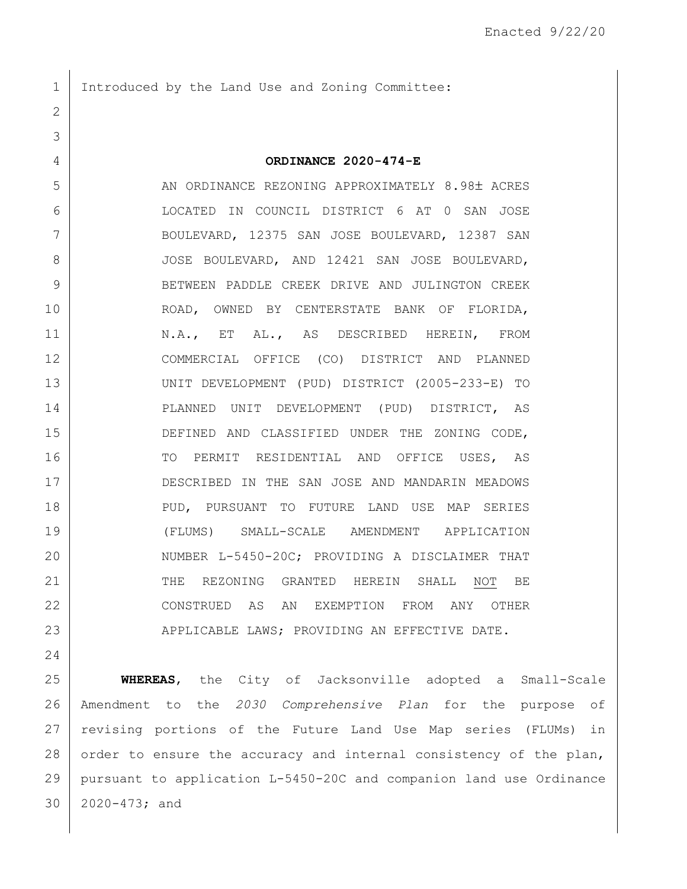1 Introduced by the Land Use and Zoning Committee:

## **ORDINANCE 2020-474-E**

5 AN ORDINANCE REZONING APPROXIMATELY 8.98± ACRES LOCATED IN COUNCIL DISTRICT 6 AT 0 SAN JOSE BOULEVARD, 12375 SAN JOSE BOULEVARD, 12387 SAN 8 JOSE BOULEVARD, AND 12421 SAN JOSE BOULEVARD, 9 BETWEEN PADDLE CREEK DRIVE AND JULINGTON CREEK ROAD, OWNED BY CENTERSTATE BANK OF FLORIDA, 11 | N.A., ET AL., AS DESCRIBED HEREIN, FROM COMMERCIAL OFFICE (CO) DISTRICT AND PLANNED UNIT DEVELOPMENT (PUD) DISTRICT (2005-233-E) TO PLANNED UNIT DEVELOPMENT (PUD) DISTRICT, AS DEFINED AND CLASSIFIED UNDER THE ZONING CODE, 16 TO PERMIT RESIDENTIAL AND OFFICE USES, AS 17 DESCRIBED IN THE SAN JOSE AND MANDARIN MEADOWS PUD, PURSUANT TO FUTURE LAND USE MAP SERIES (FLUMS) SMALL-SCALE AMENDMENT APPLICATION 20 NUMBER L-5450-20C; PROVIDING A DISCLAIMER THAT 21 THE REZONING GRANTED HEREIN SHALL NOT BE CONSTRUED AS AN EXEMPTION FROM ANY OTHER APPLICABLE LAWS; PROVIDING AN EFFECTIVE DATE.

 **WHEREAS**, the City of Jacksonville adopted a Small-Scale Amendment to the *2030 Comprehensive Plan* for the purpose of revising portions of the Future Land Use Map series (FLUMs) in 28 order to ensure the accuracy and internal consistency of the plan, pursuant to application L-5450-20C and companion land use Ordinance 2020-473; and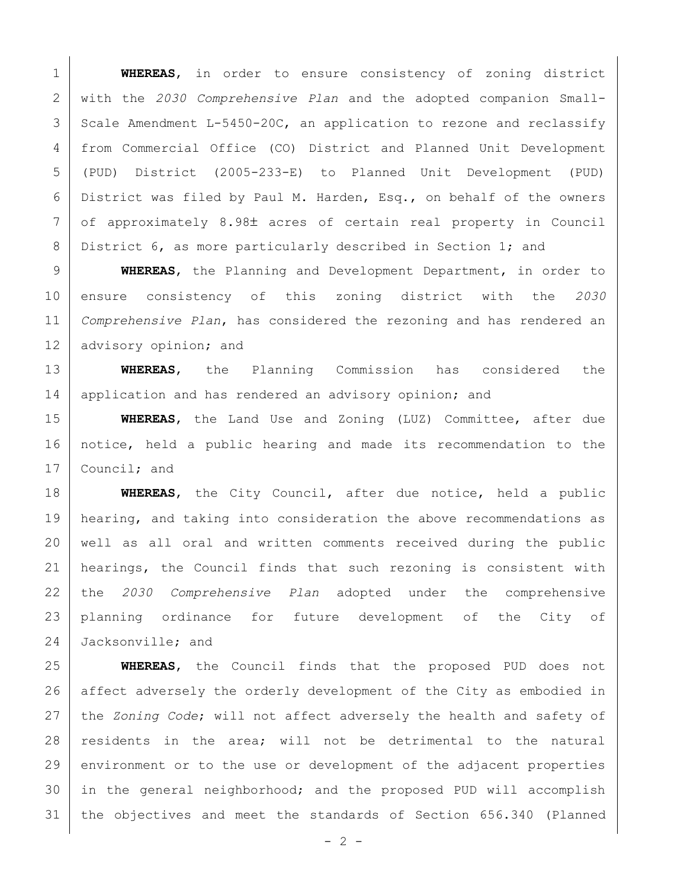**WHEREAS**, in order to ensure consistency of zoning district with the *2030 Comprehensive Plan* and the adopted companion Small- Scale Amendment L-5450-20C, an application to rezone and reclassify from Commercial Office (CO) District and Planned Unit Development (PUD) District (2005-233-E) to Planned Unit Development (PUD) District was filed by Paul M. Harden, Esq., on behalf of the owners 7 of approximately 8.98± acres of certain real property in Council 8 District 6, as more particularly described in Section 1; and

 **WHEREAS**, the Planning and Development Department, in order to ensure consistency of this zoning district with the *2030 Comprehensive Plan*, has considered the rezoning and has rendered an 12 | advisory opinion; and

13 **WHEREAS**, the Planning Commission has considered the 14 | application and has rendered an advisory opinion; and

15 **WHEREAS**, the Land Use and Zoning (LUZ) Committee, after due 16 notice, held a public hearing and made its recommendation to the 17 Council; and

18 **WHEREAS**, the City Council, after due notice, held a public 19 | hearing, and taking into consideration the above recommendations as 20 well as all oral and written comments received during the public 21 | hearings, the Council finds that such rezoning is consistent with 22 the *2030 Comprehensive Plan* adopted under the comprehensive 23 planning ordinance for future development of the City of 24 Jacksonville; and

25 **WHEREAS**, the Council finds that the proposed PUD does not 26 affect adversely the orderly development of the City as embodied in 27 the *Zoning Code*; will not affect adversely the health and safety of 28 residents in the area; will not be detrimental to the natural 29 environment or to the use or development of the adjacent properties 30 in the general neighborhood; and the proposed PUD will accomplish 31 the objectives and meet the standards of Section 656.340 (Planned

 $- 2 -$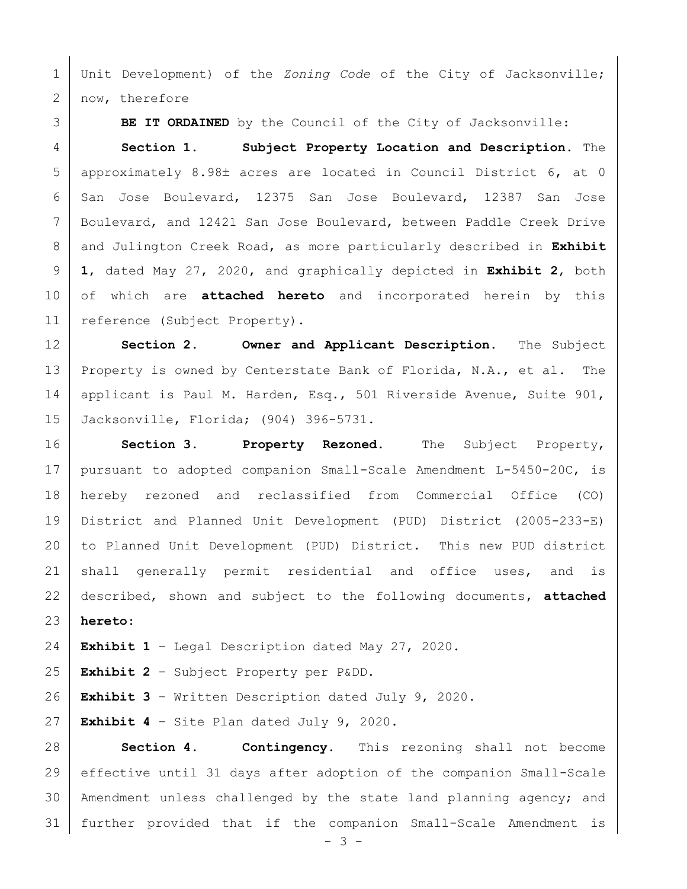Unit Development) of the *Zoning Code* of the City of Jacksonville; 2 | now, therefore

**BE IT ORDAINED** by the Council of the City of Jacksonville:

 **Section 1. Subject Property Location and Description.** The 5 | approximately 8.98± acres are located in Council District 6, at 0 6 San Jose Boulevard, 12375 San Jose Boulevard, 12387 San Jose Boulevard, and 12421 San Jose Boulevard, between Paddle Creek Drive and Julington Creek Road, as more particularly described in **Exhibit 1**, dated May 27, 2020, and graphically depicted in **Exhibit 2**, both of which are **attached hereto** and incorporated herein by this 11 | reference (Subject Property).

 **Section 2. Owner and Applicant Description.** The Subject Property is owned by Centerstate Bank of Florida, N.A., et al. The 14 | applicant is Paul M. Harden, Esq., 501 Riverside Avenue, Suite 901, Jacksonville, Florida; (904) 396-5731.

 **Section 3. Property Rezoned.** The Subject Property, pursuant to adopted companion Small-Scale Amendment L-5450-20C, is hereby rezoned and reclassified from Commercial Office (CO) District and Planned Unit Development (PUD) District (2005-233-E) to Planned Unit Development (PUD) District. This new PUD district 21 shall generally permit residential and office uses, and is described, shown and subject to the following documents, **attached hereto**:

**Exhibit 1** – Legal Description dated May 27, 2020.

**Exhibit 2** – Subject Property per P&DD.

**Exhibit 3** – Written Description dated July 9, 2020.

**Exhibit 4** – Site Plan dated July 9, 2020.

 **Section 4. Contingency.** This rezoning shall not become effective until 31 days after adoption of the companion Small-Scale Amendment unless challenged by the state land planning agency; and further provided that if the companion Small-Scale Amendment is

 $- 3 -$